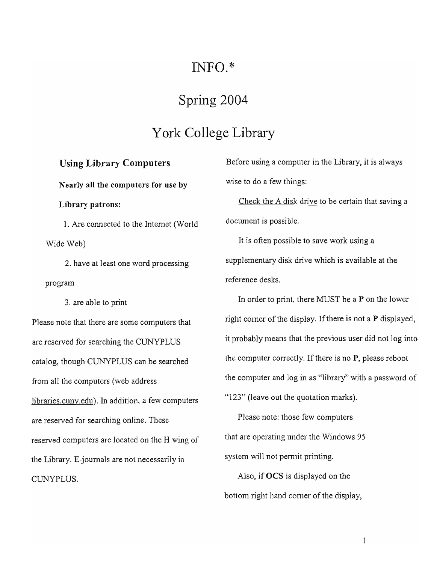## $INFO.*$

## Spring 2004

## York College Library

### Using Library Computers

Nearly all the computers for use by

Library patrons:

1. Are connected to the Internet (World Wide Web)

2. have at least one word processing program

3. are able to print

Please note that there are some computers that are reserved for searching the CUNYPLUS catalog, though CUNYPLUS can be searched from all the computers (web address [libraries.cuny.edu](https://libraries.cuny.edu)). In addition, a few computers are reserved for searching online. These reserved computers are located on the H wing of the Library. E-journals are not necessarily in CUNYPLUS.

Before using a computer in the Library, it is always wise to do a few things:

Check the A disk drive to be certain that saving a document is possible.

It is often possible to save work using a supplementary disk drive which is available at the reference desks.

In order to print, there MUST be a P on the lower right corner of the display. If there is not a P displayed, it probably means that the previous user did not Jog into the computer correctly. If there is no  $P$ , please reboot the computer and log in as "library" with a password of "123" (leave out the quotation marks).

Please note: those few computers that are operating under the Windows 95 system will not permit printing.

Also, if OCS is dispJayed on the bottom right hand corner of the display,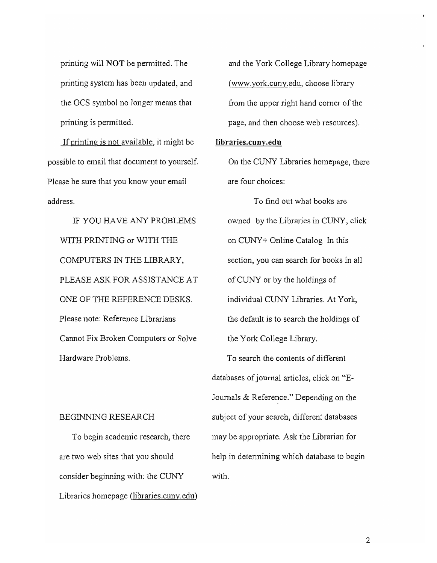printing will NOT be pennitted. The printing system has been updated, and the OCS symbol no longer means that printing is pennitted.

If printing is not available, it might be possible to email that document to yourself. Please be sure that you know your email address.

IF YOU HAVE ANY PROBLEMS WITH PRINTING or WITH THE COMPUTERS IN THE LIBRARY, PLEASE ASK FOR ASSISTANCE AT ONE OF THE REFERENCE DESKS. Please note: Reference Librarians Cannot Fix Broken Computers or Solve Hardware ProbJems.

#### BEGINNING RESEARCH

To begin academic research, there are two web sites that you should consider beginning with: the CUNY Libraries homepage ([libraries.cuny.edu](https://libraries.cuny.edu))

and the York CoJ1ege Library homepage (www.york.cuny.edu, choose library from the upper right hand corner of the page, and then choose web resources).

#### [libraries.cuny.edu](https://libraries.cuny.edu)

On the CUNY Libraries homepage, there are four choices:

To find out what books are owned by the Libraries in CUNY, click on CUNY+ Online Catalog In this section, you can search for books in all of CUNY or by the holdings of individual CUNY Libraries. At York, the default is to search the holdings of the York College Library.

To search the contents of different databases of journal articles, click on "E-Journals  $&$  Reference." Depending on the subject of your search, different databases may be appropriate. Ask the Librarian for help in determining which database to begin with.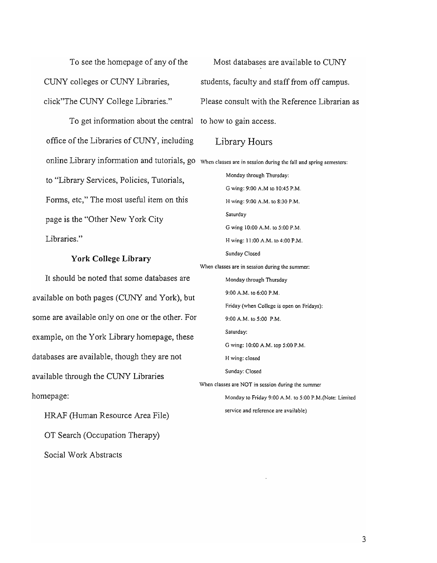To see the homepage of any of the CUNY colleges or CUNY Libraries, click"The CUNY College Libraries."

To get information about the central to how to gain access. office of the Libraries of CUNY, including to "Library Services, Policies, Tutorials, Fonns, etc," The most useful item on this page is the "Other New York City Libraries."

#### **York College Library**

It should be noted that some databases are available on both pages (CUNY and York), but some are available only on one or the other. For example, on the York Library homepage, these databases are available, though they are not available through the CUNY Libraries homepage:

HRAF (Human Resource Area File) OT Search (Occupation Therapy) Social Wark Abstracts

online Library information and tutorials, go When classes are in session during the fall and spring semesters: Most databases are available to CUNY students, faculty and staff from off campus. Please consult with the Reference Librarian as Library Hours Monday through Thursday: G wing: 9:00 A.M to 10:45 P.M. H wing: 9:00 A.M. to 8:30 P.M. Saturday G wing 10:00 A.M. to 5:00 P.M. H wing: 11 :00 A.M. to 4:00 P.M. Sunday Closed When classes are in session during the summer: Monday through Thursday 9:00 A.M. to 6:00 P.M. Friday (when College is open on Fridays): 9:00 A.M. to 5:00 P,M. Saturday: G wing: 10:00 A.M. top 5:00 P.M. H wing: closed Sunday: Closed When classes are NOT in session during the summer Monday to Friday 9:00 A.M. to 5:00 P.M.(Note: Limited service and reference are available)